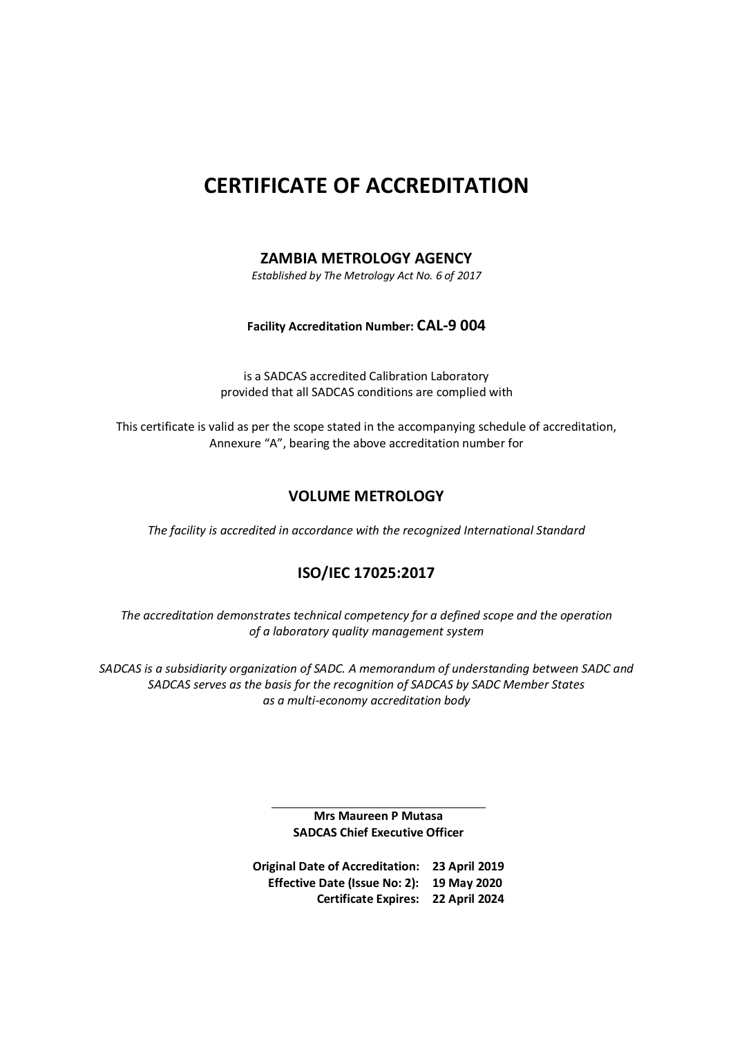# **CERTIFICATE OF ACCREDITATION**

#### **ZAMBIA METROLOGY AGENCY**

*Established by The Metrology Act No. 6 of 2017* 

#### **Facility Accreditation Number: CAL-9 004**

is a SADCAS accredited Calibration Laboratory provided that all SADCAS conditions are complied with

This certificate is valid as per the scope stated in the accompanying schedule of accreditation, Annexure "A", bearing the above accreditation number for

#### **VOLUME METROLOGY**

*The facility is accredited in accordance with the recognized International Standard* 

#### **ISO/IEC 17025:2017**

*The accreditation demonstrates technical competency for a defined scope and the operation of a laboratory quality management system* 

*SADCAS is a subsidiarity organization of SADC. A memorandum of understanding between SADC and SADCAS serves as the basis for the recognition of SADCAS by SADC Member States as a multi-economy accreditation body* 

> **Mrs Maureen P Mutasa SADCAS Chief Executive Officer**

**Original Date of Accreditation: 23 April 2019 Effective Date (Issue No: 2): 19 May 2020 Certificate Expires: 22 April 2024**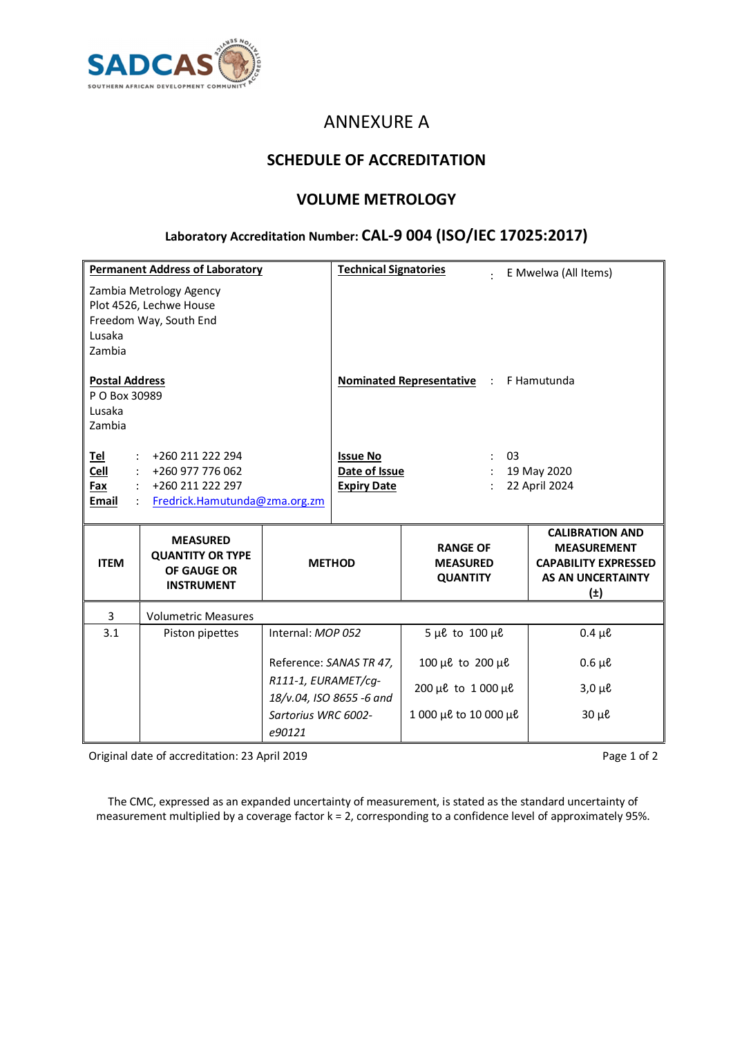

# ANNEXURE A

### **SCHEDULE OF ACCREDITATION**

### **VOLUME METROLOGY**

# **Laboratory Accreditation Number: CAL-9 004 (ISO/IEC 17025:2017)**

|                                                            | <b>Permanent Address of Laboratory</b>                                         |                                                 | <b>Technical Signatories</b>                     |                                                       | E Mwelwa (All Items)                                                                                               |  |
|------------------------------------------------------------|--------------------------------------------------------------------------------|-------------------------------------------------|--------------------------------------------------|-------------------------------------------------------|--------------------------------------------------------------------------------------------------------------------|--|
| Lusaka<br>Zambia                                           | Zambia Metrology Agency<br>Plot 4526, Lechwe House<br>Freedom Way, South End   |                                                 |                                                  |                                                       |                                                                                                                    |  |
| <b>Postal Address</b><br>P O Box 30989<br>Lusaka<br>Zambia |                                                                                |                                                 | <b>Nominated Representative :</b><br>F Hamutunda |                                                       |                                                                                                                    |  |
| <u>Tel</u>                                                 | +260 211 222 294                                                               |                                                 | <b>Issue No</b>                                  | 03                                                    |                                                                                                                    |  |
| Cell<br>Fax                                                | +260 977 776 062<br>+260 211 222 297                                           |                                                 | Date of Issue<br><b>Expiry Date</b>              |                                                       | 19 May 2020<br>22 April 2024                                                                                       |  |
| Email                                                      | Fredrick.Hamutunda@zma.org.zm                                                  |                                                 |                                                  |                                                       |                                                                                                                    |  |
| <b>ITEM</b>                                                | <b>MEASURED</b><br><b>QUANTITY OR TYPE</b><br>OF GAUGE OR<br><b>INSTRUMENT</b> | <b>METHOD</b>                                   |                                                  | <b>RANGE OF</b><br><b>MEASURED</b><br><b>QUANTITY</b> | <b>CALIBRATION AND</b><br><b>MEASUREMENT</b><br><b>CAPABILITY EXPRESSED</b><br><b>AS AN UNCERTAINTY</b><br>$(\pm)$ |  |
| 3                                                          | <b>Volumetric Measures</b>                                                     |                                                 |                                                  |                                                       |                                                                                                                    |  |
| 3.1                                                        | Piston pipettes                                                                | Internal: MOP 052                               |                                                  | $5 \mu \ell$ to $100 \mu \ell$                        | $0.4 \mu \ell$                                                                                                     |  |
|                                                            |                                                                                | Reference: SANAS TR 47,                         |                                                  | 100 µe to 200 µe                                      | $0.6 \mu \ell$                                                                                                     |  |
|                                                            |                                                                                | R111-1, EURAMET/cq-<br>18/v.04, ISO 8655 -6 and |                                                  | 200 µe to 1 000 µe                                    | $3,0 \mu \ell$                                                                                                     |  |
|                                                            |                                                                                | Sartorius WRC 6002-<br>e90121                   |                                                  | 1 000 µe to 10 000 µe                                 | $30 \mu \ell$                                                                                                      |  |

Original date of accreditation: 23 April 2019 **Page 1 of 2 Page 1 of 2** 

The CMC, expressed as an expanded uncertainty of measurement, is stated as the standard uncertainty of measurement multiplied by a coverage factor k = 2, corresponding to a confidence level of approximately 95%.